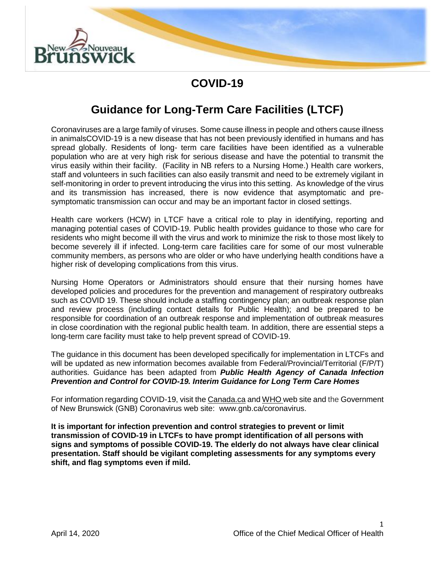

### **COVID-19**

## **Guidance for Long-Term Care Facilities (LTCF)**

Coronaviruses are a large family of viruses. Some cause illness in people and others cause illness in animalsCOVID-19 is a new disease that has not been previously identified in humans and has spread globally. Residents of long- term care facilities have been identified as a vulnerable population who are at very high risk for serious disease and have the potential to transmit the virus easily within their facility. (Facility in NB refers to a Nursing Home.) Health care workers, staff and volunteers in such facilities can also easily transmit and need to be extremely vigilant in self-monitoring in order to prevent introducing the virus into this setting. As knowledge of the virus and its transmission has increased, there is now evidence that asymptomatic and presymptomatic transmission can occur and may be an important factor in closed settings.

Health care workers (HCW) in LTCF have a critical role to play in identifying, reporting and managing potential cases of COVID-19. Public health provides guidance to those who care for residents who might become ill with the virus and work to minimize the risk to those most likely to become severely ill if infected. Long-term care facilities care for some of our most vulnerable community members, as persons who are older or who have underlying health conditions have a higher risk of developing complications from this virus.

Nursing Home Operators or Administrators should ensure that their nursing homes have developed policies and procedures for the prevention and management of respiratory outbreaks such as COVID 19. These should include a staffing contingency plan; an outbreak response plan and review process (including contact details for Public Health); and be prepared to be responsible for coordination of an outbreak response and implementation of outbreak measures in close coordination with the regional public health team. In addition, there are essential steps a long-term care facility must take to help prevent spread of COVID-19.

The guidance in this document has been developed specifically for implementation in LTCFs and will be updated as new information becomes available from Federal/Provincial/Territorial (F/P/T) authorities. Guidance has been adapted from *Public Health Agency of Canada Infection Prevention and Control for COVID-19. Interim Guidance for Long Term Care Homes*

For information regarding COVID-19, visit th[e Canada.ca](https://www.canada.ca/en/public-health/services/diseases/2019-novel-coronavirus-infection.html) and [WHO w](https://www.who.int/emergencies/diseases/novel-coronavirus-2019)eb site and the Government of New Brunswick (GNB) Coronavirus web site: [www.gnb.ca/coronavirus.](http://www.gnb.ca/coronavirus)

**It is important for infection prevention and control strategies to prevent or limit transmission of COVID-19 in LTCFs to have prompt identification of all persons with signs and symptoms of possible COVID-19. The elderly do not always have clear clinical presentation. Staff should be vigilant completing assessments for any symptoms every shift, and flag symptoms even if mild.**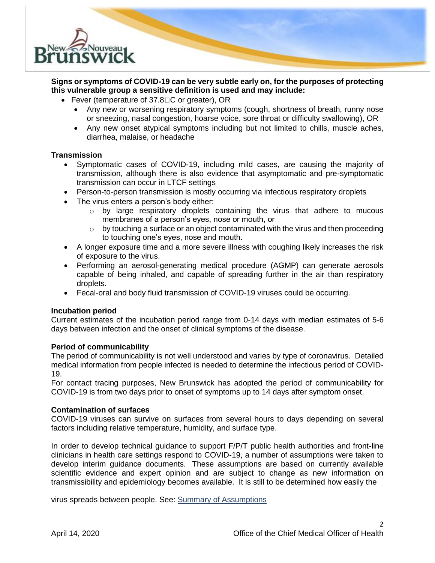

### **Signs or symptoms of COVID-19 can be very subtle early on, for the purposes of protecting this vulnerable group a sensitive definition is used and may include:**

- Fever (temperature of 37.8 $\Box$ C or greater), OR
	- Any new or worsening respiratory symptoms (cough, shortness of breath, runny nose or sneezing, nasal congestion, hoarse voice, sore throat or difficulty swallowing), OR
	- Any new onset atypical symptoms including but not limited to chills, muscle aches, diarrhea, malaise, or headache

### **Transmission**

- Symptomatic cases of COVID-19, including mild cases, are causing the majority of transmission, although there is also evidence that asymptomatic and pre-symptomatic transmission can occur in LTCF settings
- Person-to-person transmission is mostly occurring via infectious respiratory droplets
- The virus enters a person's body either:
	- o by large respiratory droplets containing the virus that adhere to mucous membranes of a person's eyes, nose or mouth, or
	- $\circ$  by touching a surface or an object contaminated with the virus and then proceeding to touching one's eyes, nose and mouth.
- A longer exposure time and a more severe illness with coughing likely increases the risk of exposure to the virus.
- Performing an aerosol-generating medical procedure (AGMP) can generate aerosols capable of being inhaled, and capable of spreading further in the air than respiratory droplets.
- Fecal-oral and body fluid transmission of COVID-19 viruses could be occurring.

### **Incubation period**

Current estimates of the incubation period range from 0-14 days with median estimates of 5-6 days between infection and the onset of clinical symptoms of the disease.

### **Period of communicability**

The period of communicability is not well understood and varies by type of coronavirus. Detailed medical information from people infected is needed to determine the infectious period of COVID-19.

For contact tracing purposes, New Brunswick has adopted the period of communicability for COVID-19 is from two days prior to onset of symptoms up to 14 days after symptom onset.

### **Contamination of surfaces**

COVID-19 viruses can survive on surfaces from several hours to days depending on several factors including relative temperature, humidity, and surface type.

In order to develop technical guidance to support F/P/T public health authorities and front-line clinicians in health care settings respond to COVID-19, a number of assumptions were taken to develop interim guidance documents. These assumptions are based on currently available scientific evidence and expert opinion and are subject to change as new information on transmissibility and epidemiology becomes available. It is still to be determined how easily the

virus spreads between people. See: [Summary of Assumptions](https://www.canada.ca/en/public-health/services/diseases/2019-novel-coronavirus-infection/health-professionals/assumptions.html)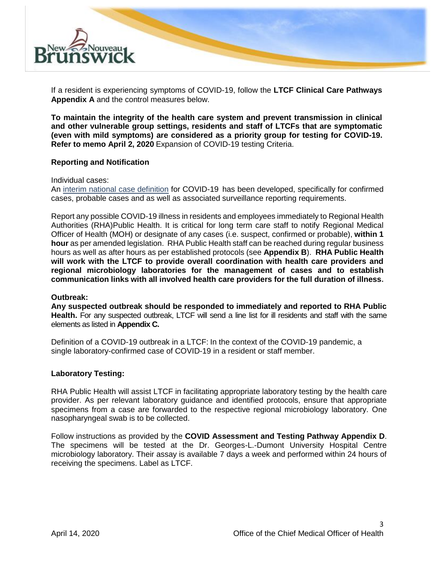

If a resident is experiencing symptoms of COVID-19, follow the **LTCF Clinical Care Pathways Appendix A** and the control measures below.

**To maintain the integrity of the health care system and prevent transmission in clinical and other vulnerable group settings, residents and staff of LTCFs that are symptomatic (even with mild symptoms) are considered as a priority group for testing for COVID-19. Refer to memo April 2, 2020** Expansion of COVID-19 testing Criteria.

### **Reporting and Notification**

Individual cases:

An [interim national case definition](https://www.canada.ca/en/public-health/services/diseases/2019-novel-coronavirus-infection/health-professionals/national-case-definition.html) for COVID-19 has been developed, specifically for confirmed cases, probable cases and as well as associated surveillance reporting requirements.

Report any possible COVID-19 illness in residents and employees immediately to Regional Health Authorities (RHA)Public Health. It is critical for long term care staff to notify Regional Medical Officer of Health (MOH) or designate of any cases (i.e. suspect, confirmed or probable), **within 1 hour** as per amended legislation. RHA Public Health staff can be reached during regular business hours as well as after hours as per established protocols (see **Appendix B**). **RHA Public Health will work with the LTCF to provide overall coordination with health care providers and regional microbiology laboratories for the management of cases and to establish communication links with all involved health care providers for the full duration of illness.**

### **Outbreak:**

**Any suspected outbreak should be responded to immediately and reported to RHA Public Health.** For any suspected outbreak, LTCF will send a line list for ill residents and staff with the same elements as listed in **Appendix C.**

Definition of a COVID-19 outbreak in a LTCF: In the context of the COVID-19 pandemic, a single laboratory-confirmed case of COVID-19 in a resident or staff member.

### **Laboratory Testing:**

RHA Public Health will assist LTCF in facilitating appropriate laboratory testing by the health care provider. As per relevant laboratory guidance and identified protocols, ensure that appropriate specimens from a case are forwarded to the respective regional microbiology laboratory. One nasopharyngeal swab is to be collected.

Follow instructions as provided by the **COVID Assessment and Testing Pathway Appendix D**. The specimens will be tested at the Dr. Georges-L.-Dumont University Hospital Centre microbiology laboratory. Their assay is available 7 days a week and performed within 24 hours of receiving the specimens. Label as LTCF.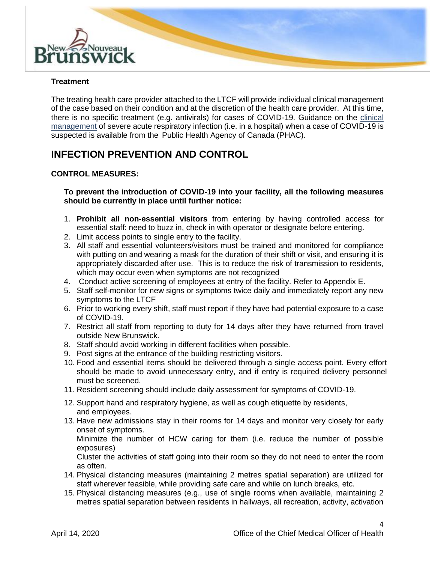

### **Treatment**

The treating health care provider attached to the LTCF will provide individual clinical management of the case based on their condition and at the discretion of the health care provider. At this time, there is no specific treatment (e.g. antivirals) for cases of COVID-19. Guidance on the [clinical](https://www.canada.ca/en/public-health/services/diseases/2019-novel-coronavirus-infection/clinical-management-covid-19.html)  [management](https://www.canada.ca/en/public-health/services/diseases/2019-novel-coronavirus-infection/clinical-management-covid-19.html) of severe acute respiratory infection (i.e. in a hospital) when a case of COVID-19 is suspected is available from the Public Health Agency of Canada (PHAC).

### **INFECTION PREVENTION AND CONTROL**

### **CONTROL MEASURES:**

**To prevent the introduction of COVID-19 into your facility, all the following measures should be currently in place until further notice:**

- 1. **Prohibit all non-essential visitors** from entering by having controlled access for essential staff: need to buzz in, check in with operator or designate before entering.
- 2. Limit access points to single entry to the facility.
- 3. All staff and essential volunteers/visitors must be trained and monitored for compliance with putting on and wearing a mask for the duration of their shift or visit, and ensuring it is appropriately discarded after use. This is to reduce the risk of transmission to residents, which may occur even when symptoms are not recognized
- 4. Conduct active screening of employees at entry of the facility. Refer to Appendix E.
- 5. Staff self-monitor for new signs or symptoms twice daily and immediately report any new symptoms to the LTCF
- 6. Prior to working every shift, staff must report if they have had potential exposure to a case of COVID-19.
- 7. Restrict all staff from reporting to duty for 14 days after they have returned from travel outside New Brunswick.
- 8. Staff should avoid working in different facilities when possible.
- 9. Post signs at the entrance of the building restricting visitors.
- 10. Food and essential items should be delivered through a single access point. Every effort should be made to avoid unnecessary entry, and if entry is required delivery personnel must be screened.
- 11. Resident screening should include daily assessment for symptoms of COVID-19.
- 12. Support hand and respiratory hygiene, as well as cough etiquette by residents, and employees.
- 13. Have new admissions stay in their rooms for 14 days and monitor very closely for early onset of symptoms.

Minimize the number of HCW caring for them (i.e. reduce the number of possible exposures)

Cluster the activities of staff going into their room so they do not need to enter the room as often.

- 14. Physical distancing measures (maintaining 2 metres spatial separation) are utilized for staff wherever feasible, while providing safe care and while on lunch breaks, etc.
- 15. Physical distancing measures (e.g., use of single rooms when available, maintaining 2 metres spatial separation between residents in hallways, all recreation, activity, activation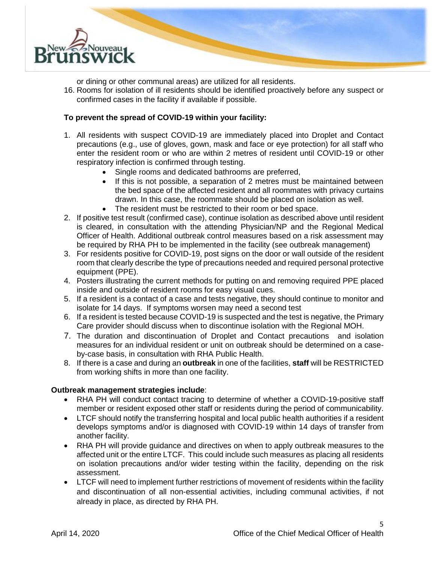

or dining or other communal areas) are utilized for all residents.

16. Rooms for isolation of ill residents should be identified proactively before any suspect or confirmed cases in the facility if available if possible.

### **To prevent the spread of COVID-19 within your facility:**

- 1. All residents with suspect COVID-19 are immediately placed into Droplet and Contact precautions (e.g., use of gloves, gown, mask and face or eye protection) for all staff who enter the resident room or who are within 2 metres of resident until COVID-19 or other respiratory infection is confirmed through testing.
	- Single rooms and dedicated bathrooms are preferred,
	- If this is not possible, a separation of 2 metres must be maintained between the bed space of the affected resident and all roommates with privacy curtains drawn. In this case, the roommate should be placed on isolation as well.
	- The resident must be restricted to their room or bed space.
- 2. If positive test result (confirmed case), continue isolation as described above until resident is cleared, in consultation with the attending Physician/NP and the Regional Medical Officer of Health. Additional outbreak control measures based on a risk assessment may be required by RHA PH to be implemented in the facility (see outbreak management)
- 3. For residents positive for COVID-19, post signs on the door or wall outside of the resident room that clearly describe the type of precautions needed and required personal protective equipment (PPE).
- 4. Posters illustrating the current methods for putting on and removing required PPE placed inside and outside of resident rooms for easy visual cues.
- 5. If a resident is a contact of a case and tests negative, they should continue to monitor and isolate for 14 days. If symptoms worsen may need a second test
- 6. If a resident is tested because COVID-19 is suspected and the test is negative, the Primary Care provider should discuss when to discontinue isolation with the Regional MOH.
- 7. The duration and discontinuation of Droplet and Contact precautions and isolation measures for an individual resident or unit on outbreak should be determined on a caseby-case basis, in consultation with RHA Public Health.
- 8. If there is a case and during an **outbreak** in one of the facilities, **staff** will be RESTRICTED from working shifts in more than one facility.

### **Outbreak management strategies include**:

- RHA PH will conduct contact tracing to determine of whether a COVID-19-positive staff member or resident exposed other staff or residents during the period of communicability.
- LTCF should notify the transferring hospital and local public health authorities if a resident develops symptoms and/or is diagnosed with COVID-19 within 14 days of transfer from another facility.
- RHA PH will provide guidance and directives on when to apply outbreak measures to the affected unit or the entire LTCF. This could include such measures as placing all residents on isolation precautions and/or wider testing within the facility, depending on the risk assessment.
- LTCF will need to implement further restrictions of movement of residents within the facility and discontinuation of all non-essential activities, including communal activities, if not already in place, as directed by RHA PH.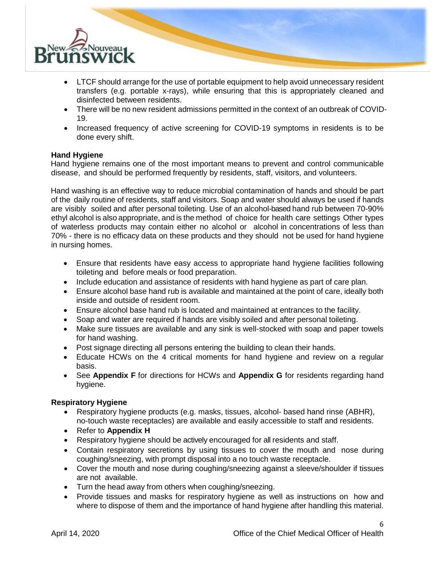

- LTCF should arrange for the use of portable equipment to help avoid unnecessary resident transfers (e.g. portable x-rays), while ensuring that this is appropriately cleaned and disinfected between residents.
- There will be no new resident admissions permitted in the context of an outbreak of COVID-19.
- Increased frequency of active screening for COVID-19 symptoms in residents is to be done every shift.

### **Hand Hygiene**

Hand hygiene remains one of the most important means to prevent and control communicable disease, and should be performed frequently by residents, staff, visitors, and volunteers.

Hand washing is an effective way to reduce microbial contamination of hands and should be part of the daily routine of residents, staff and visitors. Soap and water should always be used if hands are visibly soiled and after personal toileting. Use of an alcohol-based hand rub between 70-90% ethyl alcohol is also appropriate, and is the method of choice for health care settings Other types of waterless products may contain either no alcohol or alcohol in concentrations of less than 70% - there is no efficacy data on these products and they should not be used for hand hygiene in nursing homes.

- Ensure that residents have easy access to appropriate hand hygiene facilities following toileting and before meals or food preparation.
- Include education and assistance of residents with hand hygiene as part of care plan.
- Ensure alcohol base hand rub is available and maintained at the point of care, ideally both inside and outside of resident room.
- Ensure alcohol base hand rub is located and maintained at entrances to the facility.
- Soap and water are required if hands are visibly soiled and after personal toileting.
- Make sure tissues are available and any sink is well-stocked with soap and paper towels for hand washing.
- Post signage directing all persons entering the building to clean their hands.
- Educate HCWs on the 4 critical moments for hand hygiene and review on a regular basis.
- See **Appendix F** for directions for HCWs and **Appendix G** for residents regarding hand hygiene.

### **Respiratory Hygiene**

- Respiratory hygiene products (e.g. masks, tissues, alcohol- based hand rinse (ABHR), no-touch waste receptacles) are available and easily accessible to staff and residents.
- Refer to **Appendix H**
- Respiratory hygiene should be actively encouraged for all residents and staff.
- Contain respiratory secretions by using tissues to cover the mouth and nose during coughing/sneezing, with prompt disposal into a no touch waste receptacle.
- Cover the mouth and nose during coughing/sneezing against a sleeve/shoulder if tissues are not available.
- Turn the head away from others when coughing/sneezing.
- Provide tissues and masks for respiratory hygiene as well as instructions on how and where to dispose of them and the importance of hand hygiene after handling this material.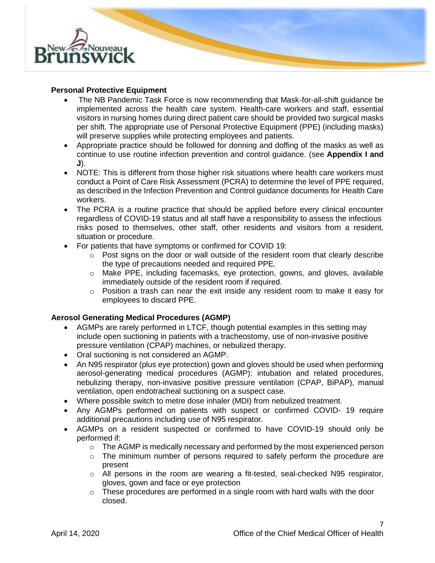

### **Personal Protective Equipment**

- The NB Pandemic Task Force is now recommending that Mask-for-all-shift guidance be implemented across the health care system. Health-care workers and staff, essential visitors in nursing homes during direct patient care should be provided two surgical masks per shift. The appropriate use of Personal Protective Equipment (PPE) (including masks) will preserve supplies while protecting employees and patients.
- Appropriate practice should be followed for donning and doffing of the masks as well as continue to use routine infection prevention and control guidance. (see **Appendix I and J**).
- NOTE: This is different from those higher risk situations where health care workers must conduct a Point of Care Risk Assessment (PCRA) to determine the level of PPE required, as described in the Infection Prevention and Control guidance documents for Health Care workers.
- The PCRA is a routine practice that should be applied before every clinical encounter regardless of COVID-19 status and all staff have a responsibility to assess the infectious risks posed to themselves, other staff, other residents and visitors from a resident, situation or procedure.
- For patients that have symptoms or confirmed for COVID 19:
	- $\circ$  Post signs on the door or wall outside of the resident room that clearly describe the type of precautions needed and required PPE.
	- o Make PPE, including facemasks, eye protection, gowns, and gloves, available immediately outside of the resident room if required.
	- $\circ$  Position a trash can near the exit inside any resident room to make it easy for employees to discard PPE.

### **Aerosol Generating Medical Procedures (AGMP)**

- AGMPs are rarely performed in LTCF, though potential examples in this setting may include open suctioning in patients with a tracheostomy, use of non-invasive positive pressure ventilation (CPAP) machines, or nebulized therapy.
- Oral suctioning is not considered an AGMP.
- An N95 respirator (plus eye protection) gown and gloves should be used when performing aerosol-generating medical procedures (AGMP): intubation and related procedures, nebulizing therapy, non-invasive positive pressure ventilation (CPAP, BiPAP), manual ventilation, open endotracheal suctioning on a suspect case.
- Where possible switch to metre dose inhaler (MDI) from nebulized treatment.
- Any AGMPs performed on patients with suspect or confirmed COVID- 19 require additional precautions including use of N95 respirator.
- AGMPs on a resident suspected or confirmed to have COVID-19 should only be performed if:
	- $\circ$  The AGMP is medically necessary and performed by the most experienced person
	- $\circ$  The minimum number of persons required to safely perform the procedure are present
	- $\circ$  All persons in the room are wearing a fit-tested, seal-checked N95 respirator, gloves, gown and face or eye protection
	- $\circ$  These procedures are performed in a single room with hard walls with the door closed.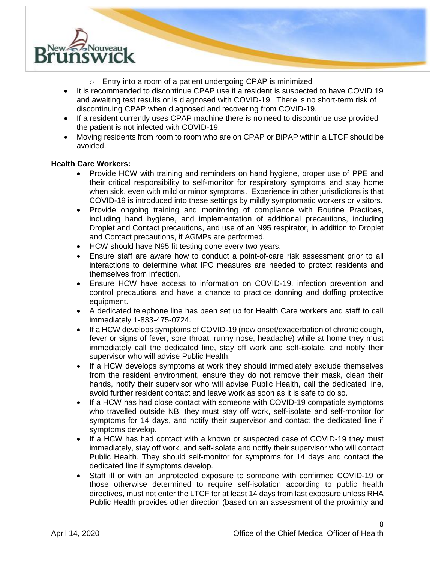

- o Entry into a room of a patient undergoing CPAP is minimized
- It is recommended to discontinue CPAP use if a resident is suspected to have COVID 19 and awaiting test results or is diagnosed with COVID-19. There is no short-term risk of discontinuing CPAP when diagnosed and recovering from COVID-19.
- If a resident currently uses CPAP machine there is no need to discontinue use provided the patient is not infected with COVID-19.
- Moving residents from room to room who are on CPAP or BiPAP within a LTCF should be avoided.

### **Health Care Workers:**

- Provide HCW with training and reminders on hand hygiene, proper use of PPE and their critical responsibility to self-monitor for respiratory symptoms and stay home when sick, even with mild or minor symptoms. Experience in other jurisdictions is that COVID-19 is introduced into these settings by mildly symptomatic workers or visitors.
- Provide ongoing training and monitoring of compliance with Routine Practices, including hand hygiene, and implementation of additional precautions, including Droplet and Contact precautions, and use of an N95 respirator, in addition to Droplet and Contact precautions, if AGMPs are performed.
- HCW should have N95 fit testing done every two years.
- Ensure staff are aware how to conduct a point-of-care risk assessment prior to all interactions to determine what IPC measures are needed to protect residents and themselves from infection.
- Ensure HCW have access to information on COVID-19, infection prevention and control precautions and have a chance to practice donning and doffing protective equipment.
- A dedicated telephone line has been set up for Health Care workers and staff to call immediately 1-833-475-0724.
- If a HCW develops symptoms of COVID-19 (new onset/exacerbation of chronic cough, fever or signs of fever, sore throat, runny nose, headache) while at home they must immediately call the dedicated line, stay off work and self-isolate, and notify their supervisor who will advise Public Health.
- If a HCW develops symptoms at work they should immediately exclude themselves from the resident environment, ensure they do not remove their mask, clean their hands, notify their supervisor who will advise Public Health, call the dedicated line, avoid further resident contact and leave work as soon as it is safe to do so.
- If a HCW has had close contact with someone with COVID-19 compatible symptoms who travelled outside NB, they must stay off work, self-isolate and self-monitor for symptoms for 14 days, and notify their supervisor and contact the dedicated line if symptoms develop.
- If a HCW has had contact with a known or suspected case of COVID-19 they must immediately, stay off work, and self-isolate and notify their supervisor who will contact Public Health. They should self-monitor for symptoms for 14 days and contact the dedicated line if symptoms develop.
- Staff ill or with an unprotected exposure to someone with confirmed COVID-19 or those otherwise determined to require self-isolation according to public health directives, must not enter the LTCF for at least 14 days from last exposure unless RHA Public Health provides other direction (based on an assessment of the proximity and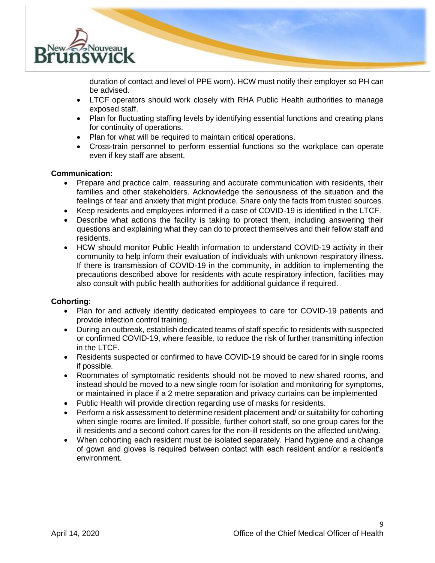

duration of contact and level of PPE worn). HCW must notify their employer so PH can be advised.

- LTCF operators should work closely with RHA Public Health authorities to manage exposed staff.
- Plan for fluctuating staffing levels by identifying essential functions and creating plans for continuity of operations.
- Plan for what will be required to maintain critical operations.
- Cross-train personnel to perform essential functions so the workplace can operate even if key staff are absent.

### **Communication:**

- Prepare and practice calm, reassuring and accurate communication with residents, their families and other stakeholders. Acknowledge the seriousness of the situation and the feelings of fear and anxiety that might produce. Share only the facts from trusted sources.
- Keep residents and employees informed if a case of COVID-19 is identified in the LTCF.
- Describe what actions the facility is taking to protect them, including answering their questions and explaining what they can do to protect themselves and their fellow staff and residents.
- HCW should monitor Public Health information to understand COVID-19 activity in their community to help inform their evaluation of individuals with unknown respiratory illness. If there is transmission of COVID-19 in the community, in addition to implementing the precautions described above for residents with acute respiratory infection, facilities may also consult with public health authorities for additional guidance if required.

### **Cohorting**:

- Plan for and actively identify dedicated employees to care for COVID-19 patients and provide infection control training.
- During an outbreak, establish dedicated teams of staff specific to residents with suspected or confirmed COVID-19, where feasible, to reduce the risk of further transmitting infection in the LTCF.
- Residents suspected or confirmed to have COVID-19 should be cared for in single rooms if possible.
- Roommates of symptomatic residents should not be moved to new shared rooms, and instead should be moved to a new single room for isolation and monitoring for symptoms, or maintained in place if a 2 metre separation and privacy curtains can be implemented
- Public Health will provide direction regarding use of masks for residents.
- Perform a risk assessment to determine resident placement and/ or suitability for cohorting when single rooms are limited. If possible, further cohort staff, so one group cares for the ill residents and a second cohort cares for the non-ill residents on the affected unit/wing.
- When cohorting each resident must be isolated separately. Hand hygiene and a change of gown and gloves is required between contact with each resident and/or a resident's environment.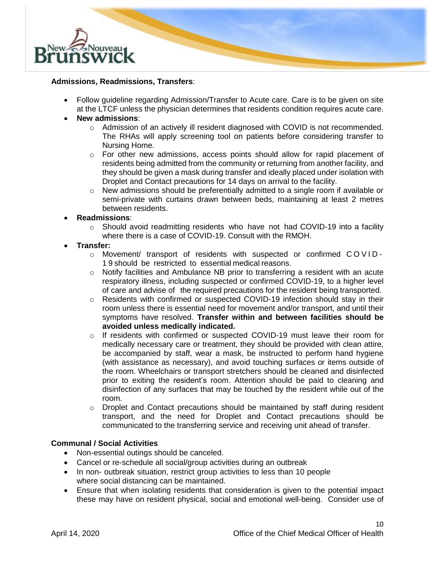

### **Admissions, Readmissions, Transfers**:

• Follow guideline regarding Admission/Transfer to Acute care. Care is to be given on site at the LTCF unless the physician determines that residents condition requires acute care.

### • **New admissions**:

- $\circ$  Admission of an actively ill resident diagnosed with COVID is not recommended. The RHAs will apply screening tool on patients before considering transfer to Nursing Home.
- $\circ$  For other new admissions, access points should allow for rapid placement of residents being admitted from the community or returning from another facility, and they should be given a mask during transfer and ideally placed under isolation with Droplet and Contact precautions for 14 days on arrival to the facility.
- $\circ$  New admissions should be preferentially admitted to a single room if available or semi-private with curtains drawn between beds, maintaining at least 2 metres between residents.

### • **Readmissions**:

 $\circ$  Should avoid readmitting residents who have not had COVID-19 into a facility where there is a case of COVID-19. Consult with the RMOH.

### • **Transfer:**

- o Movement/ transport of residents with suspected or confirmed COVID-1 9 should be restricted to essential medical reasons.
- $\circ$  Notify facilities and Ambulance NB prior to transferring a resident with an acute respiratory illness, including suspected or confirmed COVID-19, to a higher level of care and advise of the required precautions for the resident being transported.
- $\circ$  Residents with confirmed or suspected COVID-19 infection should stay in their room unless there is essential need for movement and/or transport, and until their symptoms have resolved. **Transfer within and between facilities should be avoided unless medically indicated.**
- $\circ$  If residents with confirmed or suspected COVID-19 must leave their room for medically necessary care or treatment, they should be provided with clean attire, be accompanied by staff, wear a mask, be instructed to perform hand hygiene (with assistance as necessary), and avoid touching surfaces or items outside of the room. Wheelchairs or transport stretchers should be cleaned and disinfected prior to exiting the resident's room. Attention should be paid to cleaning and disinfection of any surfaces that may be touched by the resident while out of the room.
- o Droplet and Contact precautions should be maintained by staff during resident transport, and the need for Droplet and Contact precautions should be communicated to the transferring service and receiving unit ahead of transfer.

### **Communal / Social Activities**

- Non-essential outings should be canceled.
- Cancel or re-schedule all social/group activities during an outbreak
- In non- outbreak situation, restrict group activities to less than 10 people where social distancing can be maintained.
- Ensure that when isolating residents that consideration is given to the potential impact these may have on resident physical, social and emotional well-being. Consider use of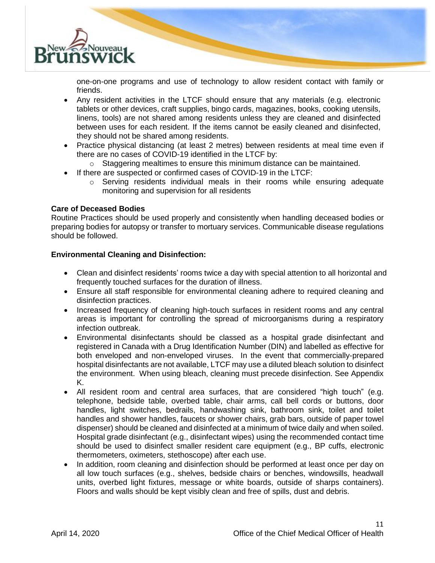

one-on-one programs and use of technology to allow resident contact with family or friends.

- Any resident activities in the LTCF should ensure that any materials (e.g. electronic tablets or other devices, craft supplies, bingo cards, magazines, books, cooking utensils, linens, tools) are not shared among residents unless they are cleaned and disinfected between uses for each resident. If the items cannot be easily cleaned and disinfected, they should not be shared among residents.
- Practice physical distancing (at least 2 metres) between residents at meal time even if there are no cases of COVID-19 identified in the LTCF by:
	- $\circ$  Staggering mealtimes to ensure this minimum distance can be maintained.
- If there are suspected or confirmed cases of COVID-19 in the LTCF:
	- $\circ$  Serving residents individual meals in their rooms while ensuring adequate monitoring and supervision for all residents

### **Care of Deceased Bodies**

Routine Practices should be used properly and consistently when handling deceased bodies or preparing bodies for autopsy or transfer to mortuary services. Communicable disease regulations should be followed.

### **Environmental Cleaning and Disinfection:**

- Clean and disinfect residents' rooms twice a day with special attention to all horizontal and frequently touched surfaces for the duration of illness.
- Ensure all staff responsible for environmental cleaning adhere to required cleaning and disinfection practices.
- Increased frequency of cleaning high-touch surfaces in resident rooms and any central areas is important for controlling the spread of microorganisms during a respiratory infection outbreak.
- Environmental disinfectants should be classed as a hospital grade disinfectant and registered in Canada with a Drug Identification Number (DIN) and labelled as effective for both enveloped and non-enveloped viruses. In the event that commercially-prepared hospital disinfectants are not available, LTCF may use a diluted bleach solution to disinfect the environment. When using bleach, cleaning must precede disinfection. See Appendix K.
- All resident room and central area surfaces, that are considered "high touch" (e.g. telephone, bedside table, overbed table, chair arms, call bell cords or buttons, door handles, light switches, bedrails, handwashing sink, bathroom sink, toilet and toilet handles and shower handles, faucets or shower chairs, grab bars, outside of paper towel dispenser) should be cleaned and disinfected at a minimum of twice daily and when soiled. Hospital grade disinfectant (e.g., disinfectant wipes) using the recommended contact time should be used to disinfect smaller resident care equipment (e.g., BP cuffs, electronic thermometers, oximeters, stethoscope) after each use.
- In addition, room cleaning and disinfection should be performed at least once per day on all low touch surfaces (e.g., shelves, bedside chairs or benches, windowsills, headwall units, overbed light fixtures, message or white boards, outside of sharps containers). Floors and walls should be kept visibly clean and free of spills, dust and debris.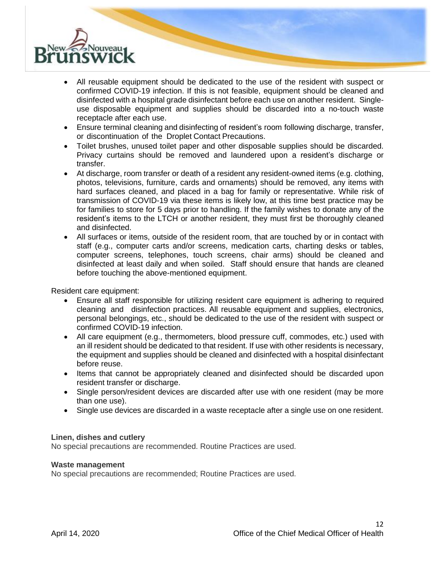

- All reusable equipment should be dedicated to the use of the resident with suspect or confirmed COVID-19 infection. If this is not feasible, equipment should be cleaned and disinfected with a hospital grade disinfectant before each use on another resident. Singleuse disposable equipment and supplies should be discarded into a no-touch waste receptacle after each use.
- Ensure terminal cleaning and disinfecting of resident's room following discharge, transfer, or discontinuation of the Droplet Contact Precautions.
- Toilet brushes, unused toilet paper and other disposable supplies should be discarded. Privacy curtains should be removed and laundered upon a resident's discharge or transfer.
- At discharge, room transfer or death of a resident any resident-owned items (e.g. clothing, photos, televisions, furniture, cards and ornaments) should be removed, any items with hard surfaces cleaned, and placed in a bag for family or representative. While risk of transmission of COVID-19 via these items is likely low, at this time best practice may be for families to store for 5 days prior to handling. If the family wishes to donate any of the resident's items to the LTCH or another resident, they must first be thoroughly cleaned and disinfected.
- All surfaces or items, outside of the resident room, that are touched by or in contact with staff (e.g., computer carts and/or screens, medication carts, charting desks or tables, computer screens, telephones, touch screens, chair arms) should be cleaned and disinfected at least daily and when soiled. Staff should ensure that hands are cleaned before touching the above-mentioned equipment.

Resident care equipment:

- Ensure all staff responsible for utilizing resident care equipment is adhering to required cleaning and disinfection practices. All reusable equipment and supplies, electronics, personal belongings, etc., should be dedicated to the use of the resident with suspect or confirmed COVID-19 infection.
- All care equipment (e.g., thermometers, blood pressure cuff, commodes, etc.) used with an ill resident should be dedicated to that resident. If use with other residents is necessary, the equipment and supplies should be cleaned and disinfected with a hospital disinfectant before reuse.
- Items that cannot be appropriately cleaned and disinfected should be discarded upon resident transfer or discharge.
- Single person/resident devices are discarded after use with one resident (may be more than one use).
- Single use devices are discarded in a waste receptacle after a single use on one resident.

### **Linen, dishes and cutlery**

No special precautions are recommended. Routine Practices are used.

#### **Waste management**

No special precautions are recommended; Routine Practices are used.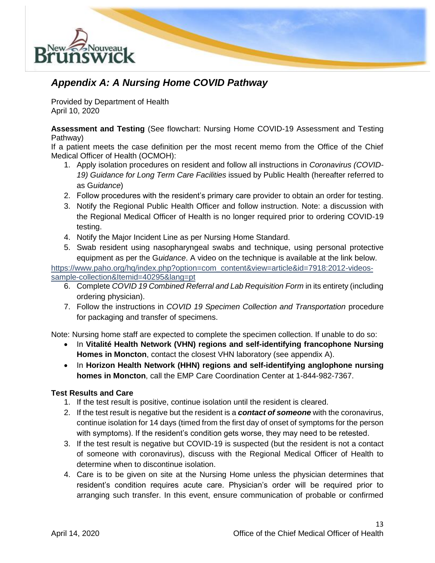

### *Appendix A: A Nursing Home COVID Pathway*

Provided by Department of Health April 10, 2020

**Assessment and Testing** (See flowchart: Nursing Home COVID-19 Assessment and Testing Pathway)

If a patient meets the case definition per the most recent memo from the Office of the Chief Medical Officer of Health (OCMOH):

- 1. Apply isolation procedures on resident and follow all instructions in *Coronavirus (COVID-19) Guidance for Long Term Care Facilities* issued by Public Health (hereafter referred to as G*uidance*)
- 2. Follow procedures with the resident's primary care provider to obtain an order for testing.
- 3. Notify the Regional Public Health Officer and follow instruction. Note: a discussion with the Regional Medical Officer of Health is no longer required prior to ordering COVID-19 testing.
- 4. Notify the Major Incident Line as per Nursing Home Standard.
- 5. Swab resident using nasopharyngeal swabs and technique, using personal protective equipment as per the G*uidance*. A video on the technique is available at the link below.

[https://www.paho.org/hq/index.php?option=com\\_content&view=article&id=7918:2012-videos](https://www.paho.org/hq/index.php?option=com_content&view=article&id=7918:2012-videos-sample-collection&Itemid=40295&lang=pt)[sample-collection&Itemid=40295&lang=pt](https://www.paho.org/hq/index.php?option=com_content&view=article&id=7918:2012-videos-sample-collection&Itemid=40295&lang=pt)

- 6. Complete *COVID 19 Combined Referral and Lab Requisition Form* in its entirety (including ordering physician).
- 7. Follow the instructions in *COVID 19 Specimen Collection and Transportation* procedure for packaging and transfer of specimens.

Note: Nursing home staff are expected to complete the specimen collection. If unable to do so:

- In **Vitalité Health Network (VHN) regions and self-identifying francophone Nursing Homes in Moncton**, contact the closest VHN laboratory (see appendix A).
- In **Horizon Health Network (HHN) regions and self-identifying anglophone nursing homes in Moncton**, call the EMP Care Coordination Center at 1-844-982-7367.

### **Test Results and Care**

- 1. If the test result is positive, continue isolation until the resident is cleared.
- 2. If the test result is negative but the resident is a *contact of someone* with the coronavirus, continue isolation for 14 days (timed from the first day of onset of symptoms for the person with symptoms). If the resident's condition gets worse, they may need to be retested.
- 3. If the test result is negative but COVID-19 is suspected (but the resident is not a contact of someone with coronavirus), discuss with the Regional Medical Officer of Health to determine when to discontinue isolation.
- 4. Care is to be given on site at the Nursing Home unless the physician determines that resident's condition requires acute care. Physician's order will be required prior to arranging such transfer. In this event, ensure communication of probable or confirmed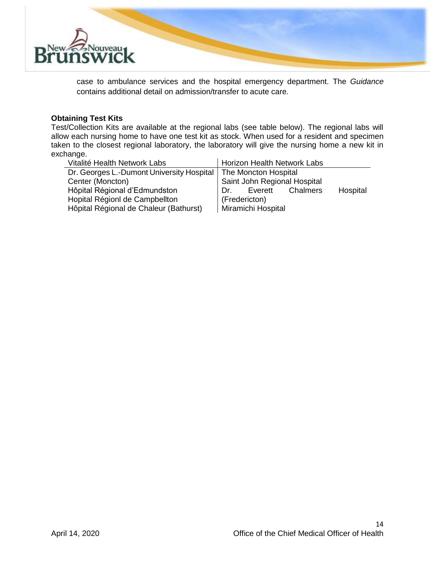

case to ambulance services and the hospital emergency department. The *Guidance* contains additional detail on admission/transfer to acute care.

### **Obtaining Test Kits**

Test/Collection Kits are available at the regional labs (see table below). The regional labs will allow each nursing home to have one test kit as stock. When used for a resident and specimen taken to the closest regional laboratory, the laboratory will give the nursing home a new kit in exchange.

| Vitalité Health Network Labs              | <b>Horizon Health Network Labs</b>  |
|-------------------------------------------|-------------------------------------|
| Dr. Georges L.-Dumont University Hospital | The Moncton Hospital                |
| Center (Moncton)                          | Saint John Regional Hospital        |
| Hôpital Régional d'Edmundston             | Everett Chalmers<br>Hospital<br>Dr. |
| Hopital RégionI de Campbellton            | (Fredericton)                       |
| Hôpital Régional de Chaleur (Bathurst)    | Miramichi Hospital                  |
|                                           |                                     |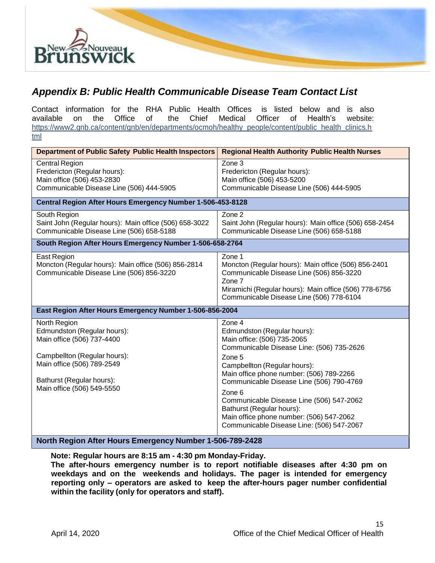

### *Appendix B: Public Health Communicable Disease Team Contact List*

Contact information for the RHA Public Health Offices is listed below and is also available on the Office of the Chief Medical Officer of Health's website: [https://www2.gnb.ca/content/gnb/en/departments/ocmoh/healthy\\_people/content/public\\_health\\_clinics.h](https://www2.gnb.ca/content/gnb/en/departments/ocmoh/healthy_people/content/public_health_clinics.html) [tml](https://www2.gnb.ca/content/gnb/en/departments/ocmoh/healthy_people/content/public_health_clinics.html)

| Department of Public Safety Public Health Inspectors                                                                                                                                               | <b>Regional Health Authority Public Health Nurses</b>                                                                                                                                                                                                                                                                                                                                                                           |  |
|----------------------------------------------------------------------------------------------------------------------------------------------------------------------------------------------------|---------------------------------------------------------------------------------------------------------------------------------------------------------------------------------------------------------------------------------------------------------------------------------------------------------------------------------------------------------------------------------------------------------------------------------|--|
| <b>Central Region</b><br>Fredericton (Regular hours):<br>Main office (506) 453-2830<br>Communicable Disease Line (506) 444-5905                                                                    | Zone 3<br>Fredericton (Regular hours):<br>Main office (506) 453-5200<br>Communicable Disease Line (506) 444-5905                                                                                                                                                                                                                                                                                                                |  |
| Central Region After Hours Emergency Number 1-506-453-8128                                                                                                                                         |                                                                                                                                                                                                                                                                                                                                                                                                                                 |  |
| South Region<br>Saint John (Regular hours): Main office (506) 658-3022<br>Communicable Disease Line (506) 658-5188                                                                                 | Zone 2<br>Saint John (Regular hours): Main office (506) 658-2454<br>Communicable Disease Line (506) 658-5188                                                                                                                                                                                                                                                                                                                    |  |
| South Region After Hours Emergency Number 1-506-658-2764                                                                                                                                           |                                                                                                                                                                                                                                                                                                                                                                                                                                 |  |
| East Region<br>Moncton (Regular hours): Main office (506) 856-2814<br>Communicable Disease Line (506) 856-3220                                                                                     | Zone 1<br>Moncton (Regular hours): Main office (506) 856-2401<br>Communicable Disease Line (506) 856-3220<br>Zone 7<br>Miramichi (Regular hours): Main office (506) 778-6756<br>Communicable Disease Line (506) 778-6104                                                                                                                                                                                                        |  |
| East Region After Hours Emergency Number 1-506-856-2004                                                                                                                                            |                                                                                                                                                                                                                                                                                                                                                                                                                                 |  |
| North Region<br>Edmundston (Regular hours):<br>Main office (506) 737-4400<br>Campbellton (Regular hours):<br>Main office (506) 789-2549<br>Bathurst (Regular hours):<br>Main office (506) 549-5550 | Zone 4<br>Edmundston (Regular hours):<br>Main office: (506) 735-2065<br>Communicable Disease Line: (506) 735-2626<br>Zone 5<br>Campbellton (Regular hours):<br>Main office phone number: (506) 789-2266<br>Communicable Disease Line (506) 790-4769<br>Zone 6<br>Communicable Disease Line (506) 547-2062<br>Bathurst (Regular hours):<br>Main office phone number: (506) 547-2062<br>Communicable Disease Line: (506) 547-2067 |  |

### **North Region After Hours Emergency Number 1-506-789-2428**

**Note: Regular hours are 8:15 am - 4:30 pm Monday-Friday.**

**The after-hours emergency number is to report notifiable diseases after 4:30 pm on weekdays and on the weekends and holidays. The pager is intended for emergency reporting only – operators are asked to keep the after-hours pager number confidential within the facility (only for operators and staff).**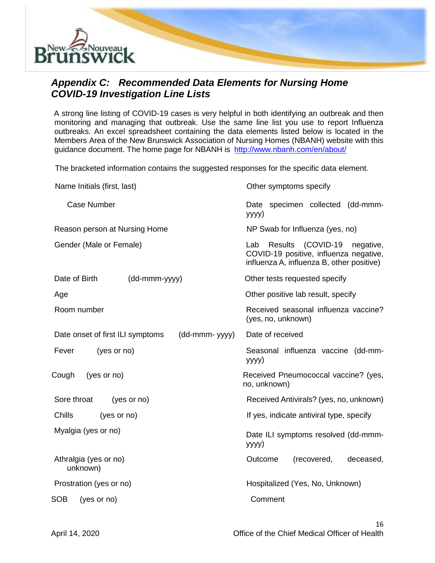

### *Appendix C: Recommended Data Elements for Nursing Home COVID-19 Investigation Line Lists*

A strong line listing of COVID-19 cases is very helpful in both identifying an outbreak and then monitoring and managing that outbreak. Use the same line list you use to report Influenza outbreaks. An excel spreadsheet containing the data elements listed below is located in the Members Area of the New Brunswick Association of Nursing Homes (NBANH) website with this guidance document. The home page for NBANH is <http://www.nbanh.com/en/about/>

The bracketed information contains the suggested responses for the specific data element.

| Other symptoms specify                                                                                                          |
|---------------------------------------------------------------------------------------------------------------------------------|
| Date specimen collected (dd-mmm-<br>yyyy)                                                                                       |
| NP Swab for Influenza (yes, no)                                                                                                 |
| (COVID-19<br>Results<br>Lab<br>negative,<br>COVID-19 positive, influenza negative,<br>influenza A, influenza B, other positive) |
| Other tests requested specify                                                                                                   |
| Other positive lab result, specify                                                                                              |
| Received seasonal influenza vaccine?<br>(yes, no, unknown)                                                                      |
| Date of received                                                                                                                |
| Seasonal influenza vaccine (dd-mm-<br>yyyy)                                                                                     |
| Received Pneumococcal vaccine? (yes,<br>no, unknown)                                                                            |
| Received Antivirals? (yes, no, unknown)                                                                                         |
| If yes, indicate antiviral type, specify                                                                                        |
| Date ILI symptoms resolved (dd-mmm-<br>yyyy)                                                                                    |
| (recovered,<br>Outcome<br>deceased,                                                                                             |
| Hospitalized (Yes, No, Unknown)                                                                                                 |
| Comment                                                                                                                         |
|                                                                                                                                 |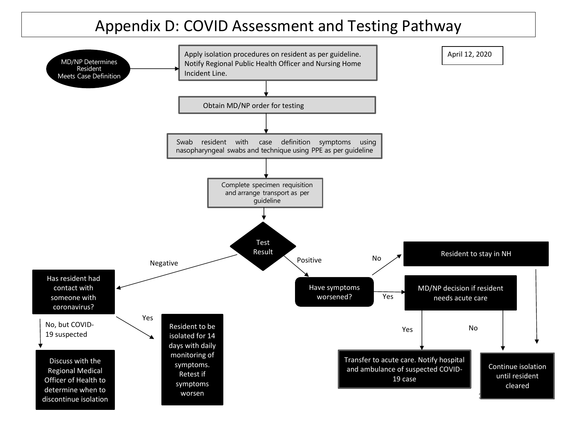# Appendix D: COVID Assessment and Testing Pathway

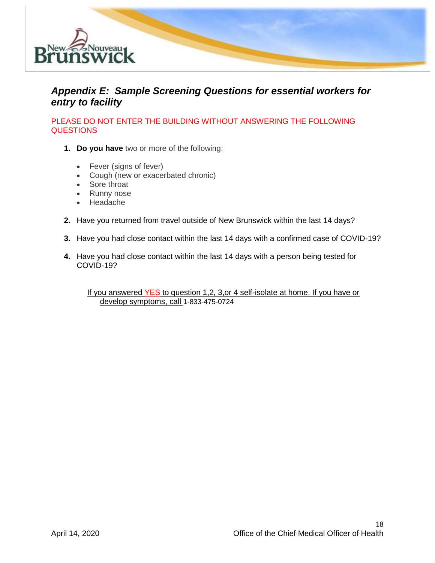

### *Appendix E: Sample Screening Questions for essential workers for entry to facility*

PLEASE DO NOT ENTER THE BUILDING WITHOUT ANSWERING THE FOLLOWING **QUESTIONS** 

- **1. Do you have** two or more of the following:
	- Fever (signs of fever)
	- Cough (new or exacerbated chronic)
	- Sore throat
	- Runny nose
	- Headache
- **2.** Have you returned from travel outside of New Brunswick within the last 14 days?
- **3.** Have you had close contact within the last 14 days with a confirmed case of COVID-19?
- **4.** Have you had close contact within the last 14 days with a person being tested for COVID-19?

If you answered YES to question 1,2, 3, or 4 self-isolate at home. If you have or develop symptoms, call 1-833-475-0724

18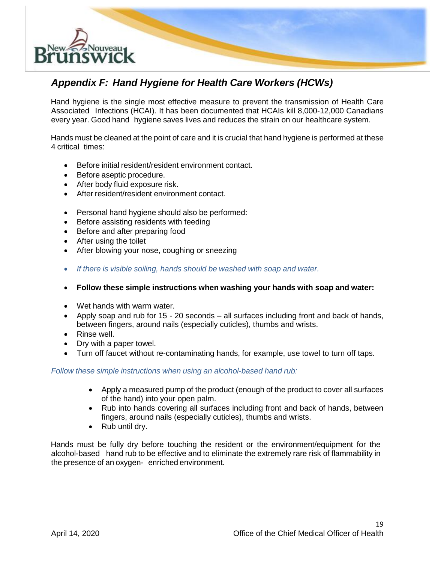

### *Appendix F: Hand Hygiene for Health Care Workers (HCWs)*

Hand hygiene is the single most effective measure to prevent the transmission of Health Care Associated Infections (HCAI). It has been documented that HCAIs kill 8,000-12,000 Canadians every year. Good hand hygiene saves lives and reduces the strain on our healthcare system.

Hands must be cleaned at the point of care and it is crucial that hand hygiene is performed at these 4 critical times:

- Before initial resident/resident environment contact.
- Before aseptic procedure.
- After body fluid exposure risk.
- After resident/resident environment contact.
- Personal hand hygiene should also be performed:
- Before assisting residents with feeding
- Before and after preparing food
- After using the toilet
- After blowing your nose, coughing or sneezing
- *If there is visible soiling, hands should be washed with soap and water.*
- **Follow these simple instructions when washing your hands with soap and water:**
- Wet hands with warm water.
- Apply soap and rub for 15 20 seconds all surfaces including front and back of hands, between fingers, around nails (especially cuticles), thumbs and wrists.
- Rinse well.
- Dry with a paper towel.
- Turn off faucet without re-contaminating hands, for example, use towel to turn off taps.

### *Follow these simple instructions when using an alcohol-based hand rub:*

- Apply a measured pump of the product (enough of the product to cover all surfaces of the hand) into your open palm.
- Rub into hands covering all surfaces including front and back of hands, between fingers, around nails (especially cuticles), thumbs and wrists.
- Rub until dry.

Hands must be fully dry before touching the resident or the environment/equipment for the alcohol-based hand rub to be effective and to eliminate the extremely rare risk of flammability in the presence of an oxygen- enriched environment.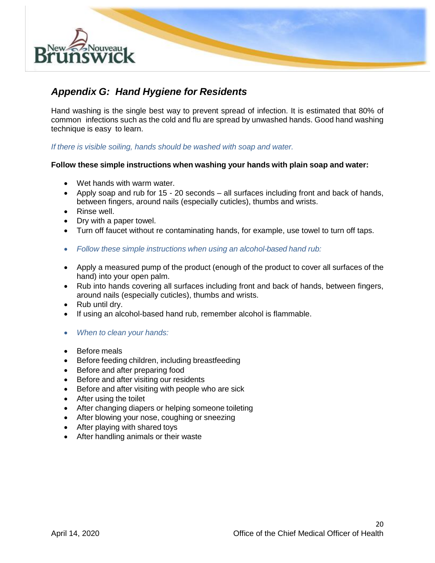

### *Appendix G: Hand Hygiene for Residents*

Hand washing is the single best way to prevent spread of infection. It is estimated that 80% of common infections such as the cold and flu are spread by unwashed hands. Good hand washing technique is easy to learn.

*If there is visible soiling, hands should be washed with soap and water.*

### **Follow these simple instructions when washing your hands with plain soap and water:**

- Wet hands with warm water.
- Apply soap and rub for 15 20 seconds all surfaces including front and back of hands, between fingers, around nails (especially cuticles), thumbs and wrists.
- Rinse well.
- Dry with a paper towel.
- Turn off faucet without re contaminating hands, for example, use towel to turn off taps.
- *Follow these simple instructions when using an alcohol-based hand rub:*
- Apply a measured pump of the product (enough of the product to cover all surfaces of the hand) into your open palm.
- Rub into hands covering all surfaces including front and back of hands, between fingers, around nails (especially cuticles), thumbs and wrists.
- Rub until dry.
- If using an alcohol-based hand rub, remember alcohol is flammable.
- *When to clean your hands:*
- Before meals
- Before feeding children, including breastfeeding
- Before and after preparing food
- Before and after visiting our residents
- Before and after visiting with people who are sick
- After using the toilet
- After changing diapers or helping someone toileting
- After blowing your nose, coughing or sneezing
- After playing with shared toys
- After handling animals or their waste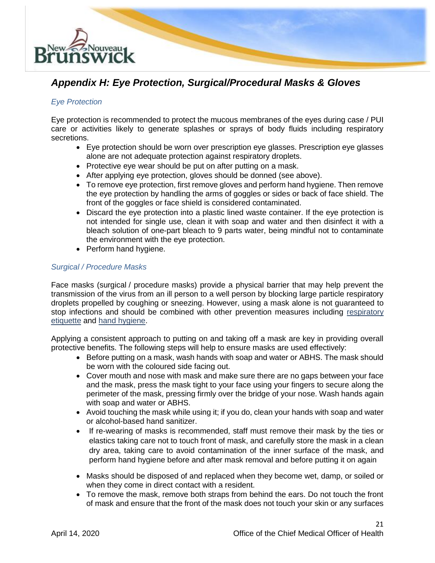

### *Appendix H: Eye Protection, Surgical/Procedural Masks & Gloves*

### *Eye Protection*

Eye protection is recommended to protect the mucous membranes of the eyes during case / PUI care or activities likely to generate splashes or sprays of body fluids including respiratory secretions.

- Eye protection should be worn over prescription eye glasses. Prescription eye glasses alone are not adequate protection against respiratory droplets.
- Protective eye wear should be put on after putting on a mask.
- After applying eye protection, gloves should be donned (see above).
- To remove eye protection, first remove gloves and perform hand hygiene. Then remove the eye protection by handling the arms of goggles or sides or back of face shield. The front of the goggles or face shield is considered contaminated.
- Discard the eye protection into a plastic lined waste container. If the eye protection is not intended for single use, clean it with soap and water and then disinfect it with a bleach solution of one-part bleach to 9 parts water, being mindful not to contaminate the environment with the eye protection.
- Perform hand hygiene.

### *Surgical / Procedure Masks*

Face masks (surgical / procedure masks) provide a physical barrier that may help prevent the transmission of the virus from an ill person to a well person by blocking large particle respiratory droplets propelled by coughing or sneezing. However, using a mask alone is not guaranteed to stop infections and should be combined with other prevention measures including [respiratory](https://www.canada.ca/en/public-health/services/diseases/2019-novel-coronavirus-infection/health-professionals/interim-guidance-cases-contacts.html)  [etiquette](https://www.canada.ca/en/public-health/services/diseases/2019-novel-coronavirus-infection/health-professionals/interim-guidance-cases-contacts.html) and [hand hygiene.](https://www.canada.ca/en/public-health/services/diseases/2019-novel-coronavirus-infection/health-professionals/interim-guidance-cases-contacts.html)

Applying a consistent approach to putting on and taking off a mask are key in providing overall protective benefits. The following steps will help to ensure masks are used effectively:

- Before putting on a mask, wash hands with soap and water or ABHS. The mask should be worn with the coloured side facing out.
- Cover mouth and nose with mask and make sure there are no gaps between your face and the mask, press the mask tight to your face using your fingers to secure along the perimeter of the mask, pressing firmly over the bridge of your nose. Wash hands again with soap and water or ABHS.
- Avoid touching the mask while using it; if you do, clean your hands with soap and water or alcohol-based hand sanitizer.
- If re-wearing of masks is recommended, staff must remove their mask by the ties or elastics taking care not to touch front of mask, and carefully store the mask in a clean dry area, taking care to avoid contamination of the inner surface of the mask, and perform hand hygiene before and after mask removal and before putting it on again
- Masks should be disposed of and replaced when they become wet, damp, or soiled or when they come in direct contact with a resident.
- To remove the mask, remove both straps from behind the ears. Do not touch the front of mask and ensure that the front of the mask does not touch your skin or any surfaces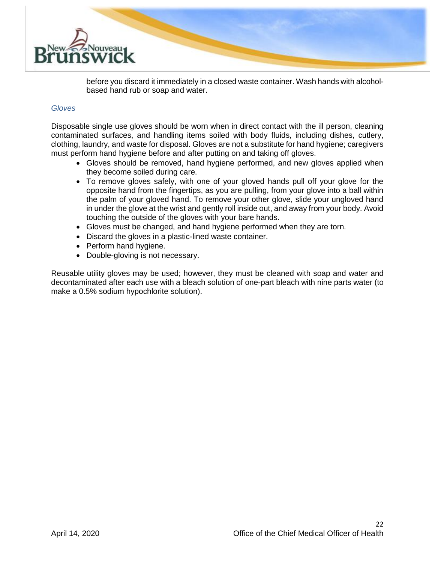

before you discard it immediately in a closed waste container. Wash hands with alcoholbased hand rub or soap and water.

#### *Gloves*

Disposable single use gloves should be worn when in direct contact with the ill person, cleaning contaminated surfaces, and handling items soiled with body fluids, including dishes, cutlery, clothing, laundry, and waste for disposal. Gloves are not a substitute for hand hygiene; caregivers must perform hand hygiene before and after putting on and taking off gloves.

- Gloves should be removed, hand hygiene performed, and new gloves applied when they become soiled during care.
- To remove gloves safely, with one of your gloved hands pull off your glove for the opposite hand from the fingertips, as you are pulling, from your glove into a ball within the palm of your gloved hand. To remove your other glove, slide your ungloved hand in under the glove at the wrist and gently roll inside out, and away from your body. Avoid touching the outside of the gloves with your bare hands.
- Gloves must be changed, and hand hygiene performed when they are torn.
- Discard the gloves in a plastic-lined waste container.
- Perform hand hygiene.
- Double-gloving is not necessary.

Reusable utility gloves may be used; however, they must be cleaned with soap and water and decontaminated after each use with a bleach solution of one-part bleach with nine parts water (to make a 0.5% sodium hypochlorite solution).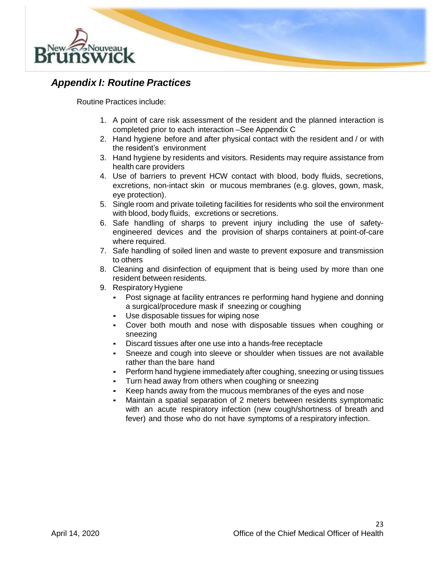

### *Appendix I: Routine Practices*

Routine Practices include:

- 1. A point of care risk assessment of the resident and the planned interaction is completed prior to each interaction –See Appendix C
- 2. Hand hygiene before and after physical contact with the resident and / or with the resident's environment
- 3. Hand hygiene by residents and visitors. Residents may require assistance from health care providers
- 4. Use of barriers to prevent HCW contact with blood, body fluids, secretions, excretions, non-intact skin or mucous membranes (e.g. gloves, gown, mask, eye protection).
- 5. Single room and private toileting facilities for residents who soil the environment with blood, body fluids, excretions or secretions.
- 6. Safe handling of sharps to prevent injury including the use of safetyengineered devices and the provision of sharps containers at point-of-care where required.
- 7. Safe handling of soiled linen and waste to prevent exposure and transmission to others
- 8. Cleaning and disinfection of equipment that is being used by more than one resident between residents.
- 9. Respiratory Hygiene
	- Post signage at facility entrances re performing hand hygiene and donning a surgical/procedure mask if sneezing or coughing
	- Use disposable tissues for wiping nose
	- Cover both mouth and nose with disposable tissues when coughing or sneezing
	- Discard tissues after one use into a hands-free receptacle
	- Sneeze and cough into sleeve or shoulder when tissues are not available rather than the bare hand
	- Perform hand hygiene immediately after coughing, sneezing or using tissues
	- Turn head away from others when coughing or sneezing
	- Keep hands away from the mucous membranes of the eyes and nose
	- Maintain a spatial separation of 2 meters between residents symptomatic with an acute respiratory infection (new cough/shortness of breath and fever) and those who do not have symptoms of a respiratory infection.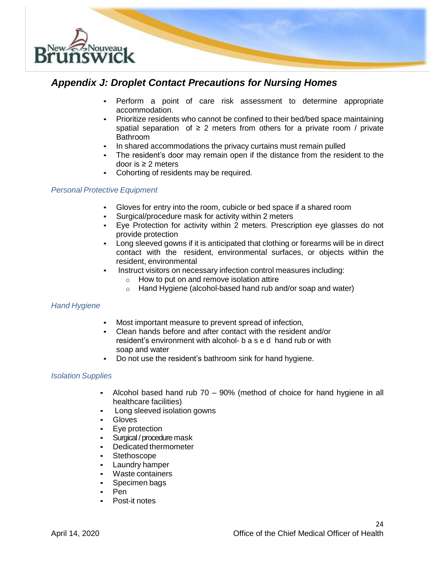

### *Appendix J: Droplet Contact Precautions for Nursing Homes*

- Perform a point of care risk assessment to determine appropriate accommodation.
- Prioritize residents who cannot be confined to their bed/bed space maintaining spatial separation of  $\geq 2$  meters from others for a private room / private Bathroom
- In shared accommodations the privacy curtains must remain pulled
- The resident's door may remain open if the distance from the resident to the door is ≥ 2 meters
- Cohorting of residents may be required.

### *Personal Protective Equipment*

- Gloves for entry into the room, cubicle or bed space if a shared room
- Surgical/procedure mask for activity within 2 meters
- Eye Protection for activity within 2 meters. Prescription eye glasses do not provide protection
- Long sleeved gowns if it is anticipated that clothing or forearms will be in direct contact with the resident, environmental surfaces, or objects within the resident, environmental
- Instruct visitors on necessary infection control measures including:
	- $\circ$  How to put on and remove isolation attire
	- o Hand Hygiene (alcohol-based hand rub and/or soap and water)

### *Hand Hygiene*

- Most important measure to prevent spread of infection,
- Clean hands before and after contact with the resident and/or resident's environment with alcohol- b a s e d hand rub or with soap and water
- Do not use the resident's bathroom sink for hand hygiene.

### *Isolation Supplies*

- Alcohol based hand rub 70 90% (method of choice for hand hygiene in all healthcare facilities)
- Long sleeved isolation gowns
- Gloves
- Eye protection
- Surgical / procedure mask
- Dedicated thermometer
- Stethoscope
- Laundry hamper
- Waste containers
- Specimen bags
- Pen
- Post-it notes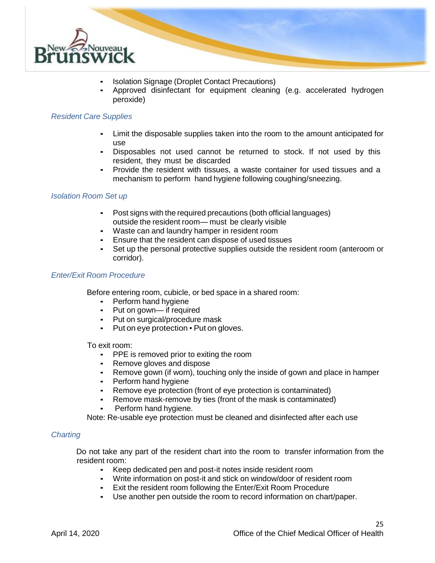

- Isolation Signage (Droplet Contact Precautions)
- Approved disinfectant for equipment cleaning (e.g. accelerated hydrogen peroxide)

### *Resident Care Supplies*

- Limit the disposable supplies taken into the room to the amount anticipated for use
- Disposables not used cannot be returned to stock. If not used by this resident, they must be discarded
- Provide the resident with tissues, a waste container for used tissues and a mechanism to perform hand hygiene following coughing/sneezing.

### *Isolation Room Set up*

- Post signs with the required precautions (both official languages) outside the resident room— must be clearly visible
- Waste can and laundry hamper in resident room
- Ensure that the resident can dispose of used tissues
- Set up the personal protective supplies outside the resident room (anteroom or corridor).

### *Enter/Exit Room Procedure*

Before entering room, cubicle, or bed space in a shared room:

- **•** Perform hand hygiene
- Put on gown— if required
- Put on surgical/procedure mask
- Put on eye protection Put on gloves.

To exit room:

- **•** PPE is removed prior to exiting the room
- Remove gloves and dispose
- **EXEL A** Remove gown (if worn), touching only the inside of gown and place in hamper
- **•** Perform hand hygiene
- Remove eye protection (front of eye protection is contaminated)
- Remove mask-remove by ties (front of the mask is contaminated)
- Perform hand hygiene.

Note: Re-usable eye protection must be cleaned and disinfected after each use

#### *Charting*

Do not take any part of the resident chart into the room to transfer information from the resident room:

- Keep dedicated pen and post-it notes inside resident room
- Write information on post-it and stick on window/door of resident room
- Exit the resident room following the Enter/Exit Room Procedure
- Use another pen outside the room to record information on chart/paper.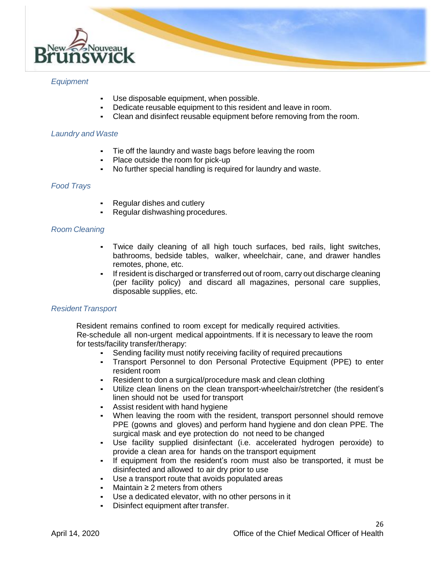

### *Equipment*

- Use disposable equipment, when possible.
- Dedicate reusable equipment to this resident and leave in room.
- Clean and disinfect reusable equipment before removing from the room.

### *Laundry and Waste*

- Tie off the laundry and waste bags before leaving the room
- **•** Place outside the room for pick-up<br>• No further special handling is requi
- No further special handling is required for laundry and waste.

### *Food Trays*

- Regular dishes and cutlery
- Regular dishwashing procedures.

### *Room Cleaning*

- Twice daily cleaning of all high touch surfaces, bed rails, light switches, bathrooms, bedside tables, walker, wheelchair, cane, and drawer handles remotes, phone, etc.
- If resident is discharged or transferred out of room, carry out discharge cleaning (per facility policy) and discard all magazines, personal care supplies, disposable supplies, etc.

### *Resident Transport*

Resident remains confined to room except for medically required activities. Re-schedule all non-urgent medical appointments. If it is necessary to leave the room for tests/facility transfer/therapy:

- Sending facility must notify receiving facility of required precautions
- Transport Personnel to don Personal Protective Equipment (PPE) to enter resident room
- Resident to don a surgical/procedure mask and clean clothing
- Utilize clean linens on the clean transport-wheelchair/stretcher (the resident's linen should not be used for transport
- **EXEC** Assist resident with hand hygiene
- When leaving the room with the resident, transport personnel should remove PPE (gowns and gloves) and perform hand hygiene and don clean PPE. The surgical mask and eye protection do not need to be changed
- Use facility supplied disinfectant (i.e. accelerated hydrogen peroxide) to provide a clean area for hands on the transport equipment
- If equipment from the resident's room must also be transported, it must be disinfected and allowed to air dry prior to use
- Use a transport route that avoids populated areas
- Maintain ≥ 2 meters from others
- Use a dedicated elevator, with no other persons in it
- Disinfect equipment after transfer.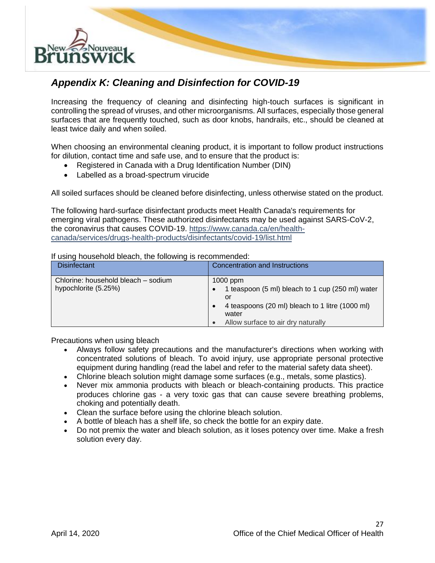

### *Appendix K: Cleaning and Disinfection for COVID-19*

Increasing the frequency of cleaning and disinfecting high-touch surfaces is significant in controlling the spread of viruses, and other microorganisms. All surfaces, especially those general surfaces that are frequently touched, such as door knobs, handrails, etc., should be cleaned at least twice daily and when soiled.

When choosing an environmental cleaning product, it is important to follow product instructions for dilution, contact time and safe use, and to ensure that the product is:

- Registered in Canada with a Drug Identification Number (DIN)
- Labelled as a broad-spectrum virucide

All soiled surfaces should be cleaned before disinfecting, unless otherwise stated on the product.

The following hard-surface disinfectant products meet Health Canada's requirements for emerging viral pathogens. These authorized disinfectants may be used against SARS-CoV-2, the coronavirus that causes COVID-19. [https://www.canada.ca/en/health](https://www.canada.ca/en/health-canada/services/drugs-health-products/disinfectants/covid-19/list.html)[canada/services/drugs-health-products/disinfectants/covid-19/list.html](https://www.canada.ca/en/health-canada/services/drugs-health-products/disinfectants/covid-19/list.html)

#### If using household bleach, the following is recommended:

| <b>Disinfectant</b>                                         | <b>Concentration and Instructions</b>                                                                                                                                  |
|-------------------------------------------------------------|------------------------------------------------------------------------------------------------------------------------------------------------------------------------|
| Chlorine: household bleach – sodium<br>hypochlorite (5.25%) | $1000$ ppm<br>1 teaspoon (5 ml) bleach to 1 cup (250 ml) water<br>or<br>4 teaspoons (20 ml) bleach to 1 litre (1000 ml)<br>water<br>Allow surface to air dry naturally |

Precautions when using bleach

- Always follow safety precautions and the manufacturer's directions when working with concentrated solutions of bleach. To avoid injury, use appropriate personal protective equipment during handling (read the label and refer to the material safety data sheet).
- Chlorine bleach solution might damage some surfaces (e.g., metals, some plastics).
- Never mix ammonia products with bleach or bleach-containing products. This practice produces chlorine gas - a very toxic gas that can cause severe breathing problems, choking and potentially death.
- Clean the surface before using the chlorine bleach solution.
- A bottle of bleach has a shelf life, so check the bottle for an expiry date.
- Do not premix the water and bleach solution, as it loses potency over time. Make a fresh solution every day.